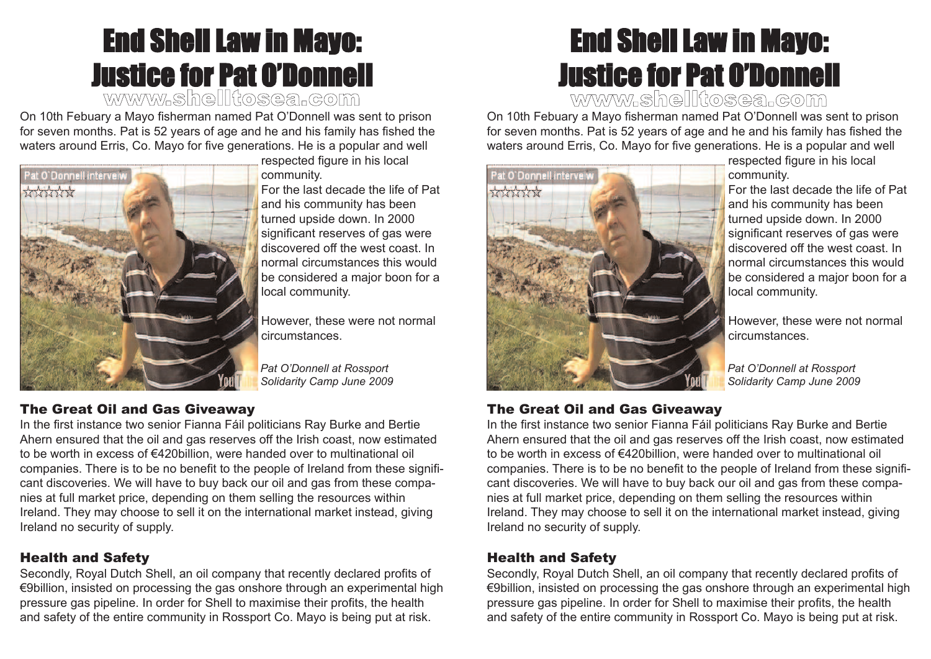# End Shell Law in Mayo: Justice for Pat O'Donnell

www.shelltosea.com

On 10th Febuary a Mayo fisherman named Pat O'Donnell was sent to prison for seven months. Pat is 52 years of age and he and his family has fished the waters around Erris, Co. Mayo for five generations. He is a popular and well



respected figure in his local community.

For the last decade the life of Pat and his community has been turned upside down. In 2000 significant reserves of gas were discovered off the west coast. In normal circumstances this would be considered a major boon for a local community.

However, these were not normal circumstances.

*Pat O'Donnell at Rossport Solidarity Camp June 2009*

#### The Great Oil and Gas Giveaway

In the first instance two senior Fianna Fáil politicians Ray Burke and Bertie Ahern ensured that the oil and gas reserves off the Irish coast, now estimated to be worth in excess of €420billion, were handed over to multinational oil companies. There is to be no benefit to the people of Ireland from these significant discoveries. We will have to buy back our oil and gas from these companies at full market price, depending on them selling the resources within Ireland. They may choose to sell it on the international market instead, giving Ireland no security of supply.

#### Health and Safety

Secondly, Royal Dutch Shell, an oil company that recently declared profits of €9billion, insisted on processing the gas onshore through an experimental high pressure gas pipeline. In order for Shell to maximise their profits, the health and safety of the entire community in Rossport Co. Mayo is being put at risk.

# End Shell Law in Mayo: Justice for Pat O'Donnell

www.shelltosea.com

On 10th Febuary a Mayo fisherman named Pat O'Donnell was sent to prison for seven months. Pat is 52 years of age and he and his family has fished the waters around Erris, Co. Mayo for five generations. He is a popular and well



respected figure in his local community.

For the last decade the life of Pat and his community has been turned upside down. In 2000 significant reserves of gas were discovered off the west coast. In normal circumstances this would be considered a major boon for a local community.

However, these were not normal circumstances.

*Pat O'Donnell at Rossport Solidarity Camp June 2009*

#### The Great Oil and Gas Giveaway

In the first instance two senior Fianna Fáil politicians Ray Burke and Bertie Ahern ensured that the oil and gas reserves off the Irish coast, now estimated to be worth in excess of €420billion, were handed over to multinational oil companies. There is to be no benefit to the people of Ireland from these significant discoveries. We will have to buy back our oil and gas from these companies at full market price, depending on them selling the resources within Ireland. They may choose to sell it on the international market instead, giving Ireland no security of supply.

#### Health and Safety

Secondly, Royal Dutch Shell, an oil company that recently declared profits of €9billion, insisted on processing the gas onshore through an experimental high pressure gas pipeline. In order for Shell to maximise their profits, the health and safety of the entire community in Rossport Co. Mayo is being put at risk.